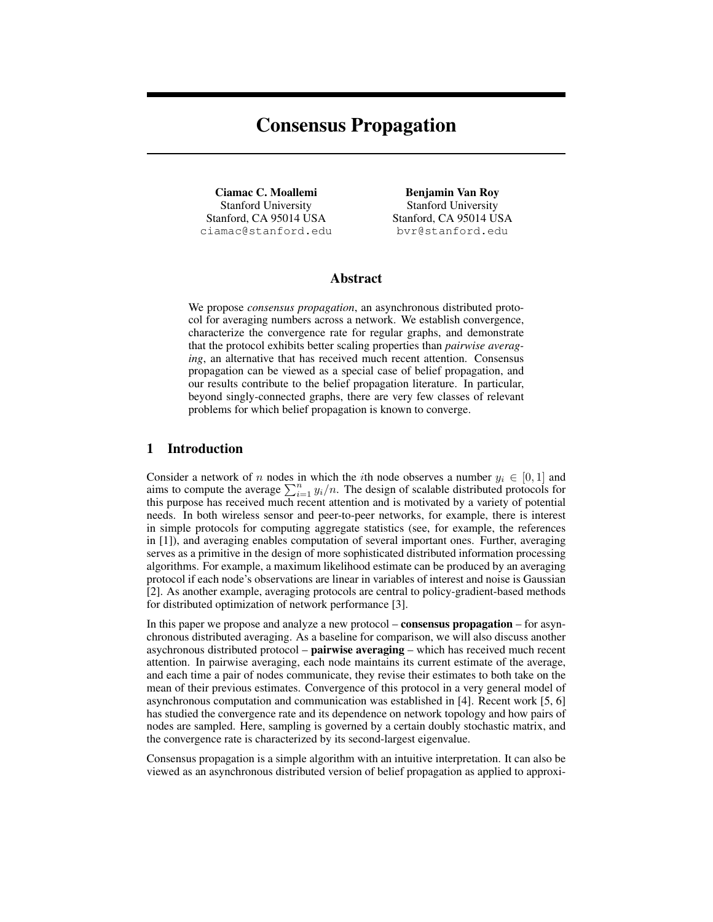# Consensus Propagation

Ciamac C. Moallemi Stanford University Stanford, CA 95014 USA ciamac@stanford.edu

Benjamin Van Roy Stanford University Stanford, CA 95014 USA bvr@stanford.edu

## Abstract

We propose *consensus propagation*, an asynchronous distributed protocol for averaging numbers across a network. We establish convergence, characterize the convergence rate for regular graphs, and demonstrate that the protocol exhibits better scaling properties than *pairwise averaging*, an alternative that has received much recent attention. Consensus propagation can be viewed as a special case of belief propagation, and our results contribute to the belief propagation literature. In particular, beyond singly-connected graphs, there are very few classes of relevant problems for which belief propagation is known to converge.

# 1 Introduction

Consider a network of n nodes in which the *i*th node observes a number  $y_i \in [0, 1]$  and aims to compute the average  $\sum_{i=1}^{n} y_i/n$ . The design of scalable distributed protocols for this purpose has received much recent attention and is motivated by a variety of potential needs. In both wireless sensor and peer-to-peer networks, for example, there is interest in simple protocols for computing aggregate statistics (see, for example, the references in [1]), and averaging enables computation of several important ones. Further, averaging serves as a primitive in the design of more sophisticated distributed information processing algorithms. For example, a maximum likelihood estimate can be produced by an averaging protocol if each node's observations are linear in variables of interest and noise is Gaussian [2]. As another example, averaging protocols are central to policy-gradient-based methods for distributed optimization of network performance [3].

In this paper we propose and analyze a new protocol – **consensus propagation** – for asynchronous distributed averaging. As a baseline for comparison, we will also discuss another asychronous distributed protocol – **pairwise averaging** – which has received much recent attention. In pairwise averaging, each node maintains its current estimate of the average, and each time a pair of nodes communicate, they revise their estimates to both take on the mean of their previous estimates. Convergence of this protocol in a very general model of asynchronous computation and communication was established in [4]. Recent work [5, 6] has studied the convergence rate and its dependence on network topology and how pairs of nodes are sampled. Here, sampling is governed by a certain doubly stochastic matrix, and the convergence rate is characterized by its second-largest eigenvalue.

Consensus propagation is a simple algorithm with an intuitive interpretation. It can also be viewed as an asynchronous distributed version of belief propagation as applied to approxi-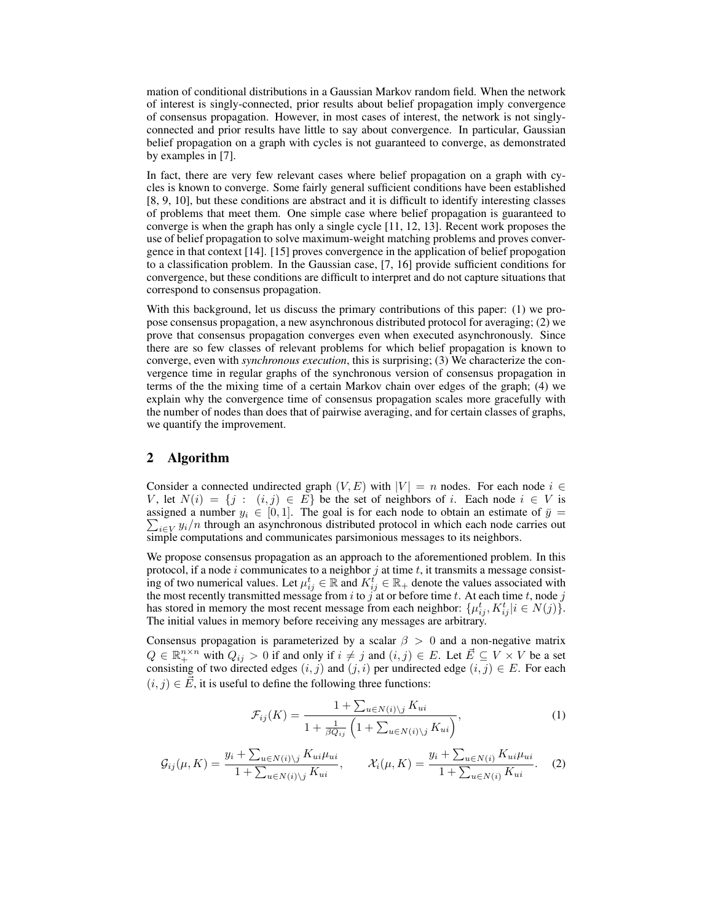mation of conditional distributions in a Gaussian Markov random field. When the network of interest is singly-connected, prior results about belief propagation imply convergence of consensus propagation. However, in most cases of interest, the network is not singlyconnected and prior results have little to say about convergence. In particular, Gaussian belief propagation on a graph with cycles is not guaranteed to converge, as demonstrated by examples in [7].

In fact, there are very few relevant cases where belief propagation on a graph with cycles is known to converge. Some fairly general sufficient conditions have been established [8, 9, 10], but these conditions are abstract and it is difficult to identify interesting classes of problems that meet them. One simple case where belief propagation is guaranteed to converge is when the graph has only a single cycle [11, 12, 13]. Recent work proposes the use of belief propagation to solve maximum-weight matching problems and proves convergence in that context [14]. [15] proves convergence in the application of belief propogation to a classification problem. In the Gaussian case, [7, 16] provide sufficient conditions for convergence, but these conditions are difficult to interpret and do not capture situations that correspond to consensus propagation.

With this background, let us discuss the primary contributions of this paper: (1) we propose consensus propagation, a new asynchronous distributed protocol for averaging; (2) we prove that consensus propagation converges even when executed asynchronously. Since there are so few classes of relevant problems for which belief propagation is known to converge, even with *synchronous execution*, this is surprising; (3) We characterize the convergence time in regular graphs of the synchronous version of consensus propagation in terms of the the mixing time of a certain Markov chain over edges of the graph; (4) we explain why the convergence time of consensus propagation scales more gracefully with the number of nodes than does that of pairwise averaging, and for certain classes of graphs, we quantify the improvement.

## 2 Algorithm

Consider a connected undirected graph  $(V, E)$  with  $|V| = n$  nodes. For each node  $i \in$ V, let  $N(i) = \{j : (i, j) \in E\}$  be the set of neighbors of i. Each node  $i \in V$  is  $\sum_{i\in V} y_i/n$  through an asynchronous distributed protocol in which each node carries out assigned a number  $y_i \in [0, 1]$ . The goal is for each node to obtain an estimate of  $\bar{y} =$ simple computations and communicates parsimonious messages to its neighbors.

We propose consensus propagation as an approach to the aforementioned problem. In this protocol, if a node i communicates to a neighbor  $j$  at time  $t$ , it transmits a message consisting of two numerical values. Let  $\mu_{ij}^t \in \mathbb{R}$  and  $K_{ij}^t \in \mathbb{R}_+$  denote the values associated with the most recently transmitted message from i to j'at or before time t. At each time t, node j has stored in memory the most recent message from each neighbor:  $\{\mu_{ij}^t, K_{ij}^t | i \in N(j)\}.$ The initial values in memory before receiving any messages are arbitrary.

Consensus propagation is parameterized by a scalar  $\beta > 0$  and a non-negative matrix  $Q \in \mathbb{R}_+^{n \times n}$  with  $Q_{ij} > 0$  if and only if  $i \neq j$  and  $(i, j) \in E$ . Let  $\vec{E} \subseteq V \times V$  be a set consisting of two directed edges  $(i, j)$  and  $(j, i)$  per undirected edge  $(i, j) \in E$ . For each  $(i, j) \in \overrightarrow{E}$ , it is useful to define the following three functions:

$$
\mathcal{F}_{ij}(K) = \frac{1 + \sum_{u \in N(i) \setminus j} K_{ui}}{1 + \frac{1}{\beta Q_{ij}} \left( 1 + \sum_{u \in N(i) \setminus j} K_{ui} \right)},\tag{1}
$$

$$
\mathcal{G}_{ij}(\mu, K) = \frac{y_i + \sum_{u \in N(i) \setminus j} K_{ui} \mu_{ui}}{1 + \sum_{u \in N(i) \setminus j} K_{ui}}, \qquad \mathcal{X}_i(\mu, K) = \frac{y_i + \sum_{u \in N(i)} K_{ui} \mu_{ui}}{1 + \sum_{u \in N(i)} K_{ui}}.
$$
 (2)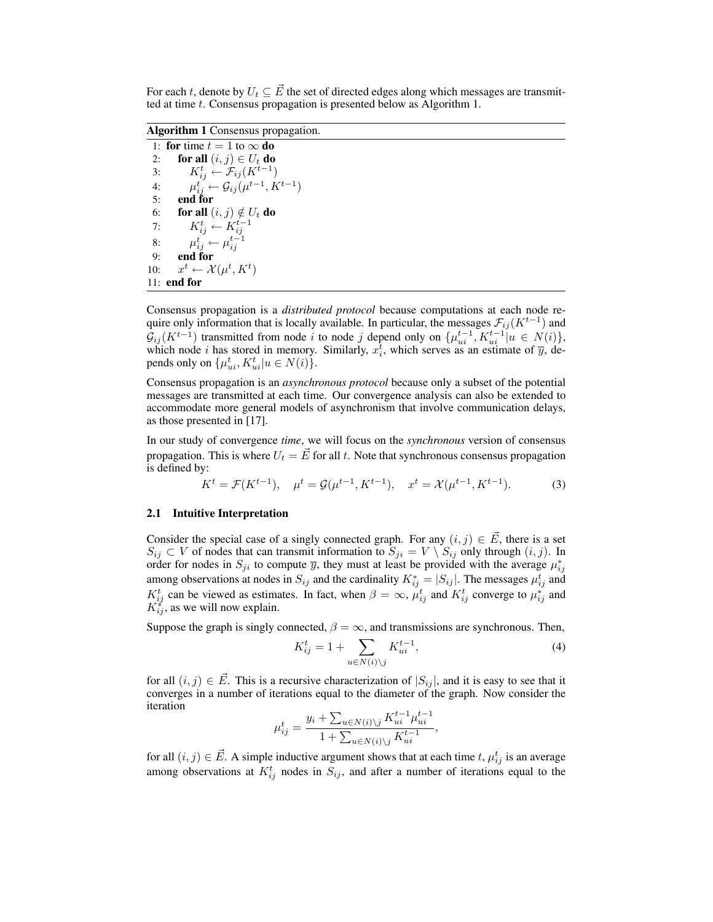For each t, denote by  $U_t \subseteq \vec{E}$  the set of directed edges along which messages are transmitted at time t. Consensus propagation is presented below as Algorithm 1.

Algorithm 1 Consensus propagation.

1: for time  $t = 1$  to  $\infty$  do 2: for all  $(i, j) \in U_t$  do 3:  $K_{ij}^t \leftarrow \mathcal{F}_{ij}(K^{t-1})$ 4:  $\mu_{ij}^t \leftarrow \mathcal{G}_{ij}(\mu^{t-1}, K^{t-1})$ 5: end for 6: **for all**  $(i, j) \notin U_t$  do 7:  $K_{ij}^t \leftarrow K_{ij}^{t-1}$ 8:  $\mu_{ij}^t \leftarrow \mu_{ij}^{t-1}$ 9: end for  $10:$  $t \leftarrow \mathcal{X}(\mu^t, K^t)$ 11: end for

Consensus propagation is a *distributed protocol* because computations at each node require only information that is locally available. In particular, the messages  $\mathcal{F}_{ij} (K^{t-1})$  and  $\mathcal{G}_{ij}(K^{t-1})$  transmitted from node i to node j depend only on  $\{\mu_{ui}^{t-1}, K_{ui}^{t-1} | u \in N(i)\},$ which node *i* has stored in memory. Similarly,  $x_i^{\overline{t}}$ , which serves as an estimate of  $\overline{y}$ , depends only on  $\{\mu_{ui}^t, K_{ui}^t | u \in N(i)\}.$ 

Consensus propagation is an *asynchronous protocol* because only a subset of the potential messages are transmitted at each time. Our convergence analysis can also be extended to accommodate more general models of asynchronism that involve communication delays, as those presented in [17].

In our study of convergence *time*, we will focus on the *synchronous* version of consensus propagation. This is where  $U_t = \vec{E}$  for all t. Note that synchronous consensus propagation is defined by:

$$
K^{t} = \mathcal{F}(K^{t-1}), \quad \mu^{t} = \mathcal{G}(\mu^{t-1}, K^{t-1}), \quad x^{t} = \mathcal{X}(\mu^{t-1}, K^{t-1}).
$$
 (3)

#### 2.1 Intuitive Interpretation

Consider the special case of a singly connected graph. For any  $(i, j) \in \mathbf{E}$ , there is a set  $S_{ij} \subset V$  of nodes that can transmit information to  $S_{ji} = V \setminus S_{ij}$  only through  $(i, j)$ . In order for nodes in  $S_{ji}$  to compute  $\overline{y}$ , they must at least be provided with the average  $\mu_{ij}^*$ among observations at nodes in  $S_{ij}$  and the cardinality  $K_{ij}^* = |S_{ij}|$ . The messages  $\mu_{ij}^t$  and  $K_{ij}^t$  can be viewed as estimates. In fact, when  $\beta = \infty$ ,  $\mu_{ij}^t$  and  $K_{ij}^t$  converge to  $\mu_{ij}^s$  and  $K_{ij}^*$ , as we will now explain.

Suppose the graph is singly connected,  $\beta = \infty$ , and transmissions are synchronous. Then,

$$
K_{ij}^t = 1 + \sum_{u \in N(i) \backslash j} K_{ui}^{t-1},\tag{4}
$$

for all  $(i, j) \in \overrightarrow{E}$ . This is a recursive characterization of  $|S_{ij}|$ , and it is easy to see that it converges in a number of iterations equal to the diameter of the graph. Now consider the iteration

$$
\mu_{ij}^t = \frac{y_i + \sum_{u \in N(i) \backslash j} K_{ui}^{t-1} \mu_{ui}^{t-1}}{1 + \sum_{u \in N(i) \backslash j} K_{ui}^{t-1}},
$$

for all  $(i, j) \in \vec{E}$ . A simple inductive argument shows that at each time t,  $\mu_{ij}^t$  is an average among observations at  $K_{ij}^t$  nodes in  $S_{ij}$ , and after a number of iterations equal to the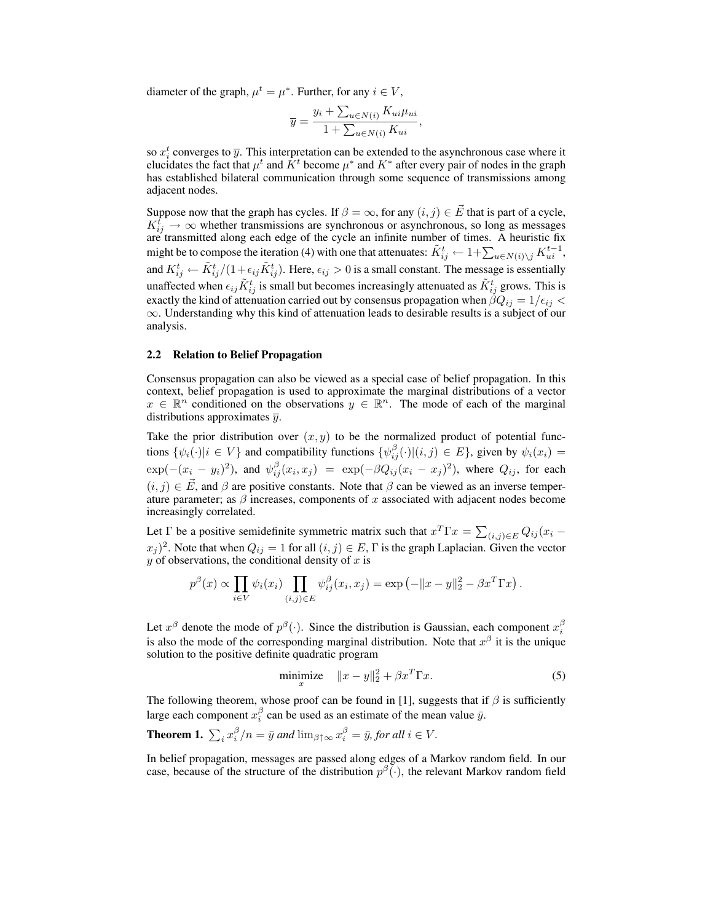diameter of the graph,  $\mu^t = \mu^*$ . Further, for any  $i \in V$ ,

$$
\overline{y} = \frac{y_i + \sum_{u \in N(i)} K_{ui} \mu_{ui}}{1 + \sum_{u \in N(i)} K_{ui}},
$$

so  $x_i^t$  converges to  $\overline{y}$ . This interpretation can be extended to the asynchronous case where it elucidates the fact that  $\mu^t$  and  $\tilde{K}^t$  become  $\mu^*$  and  $K^*$  after every pair of nodes in the graph has established bilateral communication through some sequence of transmissions among adjacent nodes.

Suppose now that the graph has cycles. If  $\beta = \infty$ , for any  $(i, j) \in \vec{E}$  that is part of a cycle,  $K_{ij}^{\hat{t}} \rightarrow \infty$  whether transmissions are synchronous or asynchronous, so long as messages are transmitted along each edge of the cycle an infinite number of times. A heuristic fix might be to compose the iteration (4) with one that attenuates:  $\tilde{K}^t_{ij} \leftarrow 1 + \sum_{u \in N(i) \setminus j} K_{ui}^{t-1}$ , and  $K_{ij}^t \leftarrow \tilde{K}_{ij}^t/(1+\epsilon_{ij}\tilde{K}_{ij}^t)$ . Here,  $\epsilon_{ij} > 0$  is a small constant. The message is essentially unaffected when  $\epsilon_{ij}\tilde{K}^t_{ij}$  is small but becomes increasingly attenuated as  $\tilde{K}^t_{ij}$  grows. This is exactly the kind of attenuation carried out by consensus propagation when  $\beta Q_{ij} = 1/\epsilon_{ij}$  $\infty$ . Understanding why this kind of attenuation leads to desirable results is a subject of our analysis.

#### 2.2 Relation to Belief Propagation

Consensus propagation can also be viewed as a special case of belief propagation. In this context, belief propagation is used to approximate the marginal distributions of a vector  $x \in \mathbb{R}^n$  conditioned on the observations  $y \in \mathbb{R}^n$ . The mode of each of the marginal distributions approximates  $\overline{y}$ .

Take the prior distribution over  $(x, y)$  to be the normalized product of potential functions  $\{\psi_i(\cdot)|i \in V\}$  and compatibility functions  $\{\psi_{ij}^{\beta}(\cdot)|(i,j) \in E\}$ , given by  $\psi_i(x_i) =$  $\exp(-(x_i-y_i)^2)$ , and  $\psi_{ij}^{\beta}(x_i,x_j) = \exp(-\beta Q_{ij}(x_i-x_j)^2)$ , where  $Q_{ij}$ , for each  $(i, j) \in \vec{E}$ , and  $\beta$  are positive constants. Note that  $\beta$  can be viewed as an inverse temperature parameter; as  $\beta$  increases, components of x associated with adjacent nodes become increasingly correlated.

Let  $\Gamma$  be a positive semidefinite symmetric matrix such that  $x^T \Gamma x = \sum_{(i,j) \in E} Q_{ij}(x_i (x_j)^2$ . Note that when  $Q_{ij} = 1$  for all  $(i, j) \in E$ ,  $\Gamma$  is the graph Laplacian. Given the vector  $y$  of observations, the conditional density of  $x$  is

$$
p^{\beta}(x) \propto \prod_{i \in V} \psi_i(x_i) \prod_{(i,j) \in E} \psi_{ij}^{\beta}(x_i, x_j) = \exp(-\|x - y\|_2^2 - \beta x^T \Gamma x).
$$

Let  $x^{\beta}$  denote the mode of  $p^{\beta}(\cdot)$ . Since the distribution is Gaussian, each component  $x_i^{\beta}$ is also the mode of the corresponding marginal distribution. Note that  $x^{\beta}$  it is the unique solution to the positive definite quadratic program

$$
\underset{x}{\text{minimize}} \quad \|x - y\|_2^2 + \beta x^T \Gamma x. \tag{5}
$$

The following theorem, whose proof can be found in [1], suggests that if  $\beta$  is sufficiently large each component  $x_i^{\beta}$  can be used as an estimate of the mean value  $\bar{y}$ .

**Theorem 1.** 
$$
\sum_i x_i^{\beta}/n = \bar{y}
$$
 and  $\lim_{\beta \uparrow \infty} x_i^{\beta} = \bar{y}$ , for all  $i \in V$ .

In belief propagation, messages are passed along edges of a Markov random field. In our case, because of the structure of the distribution  $p^{\beta}(\cdot)$ , the relevant Markov random field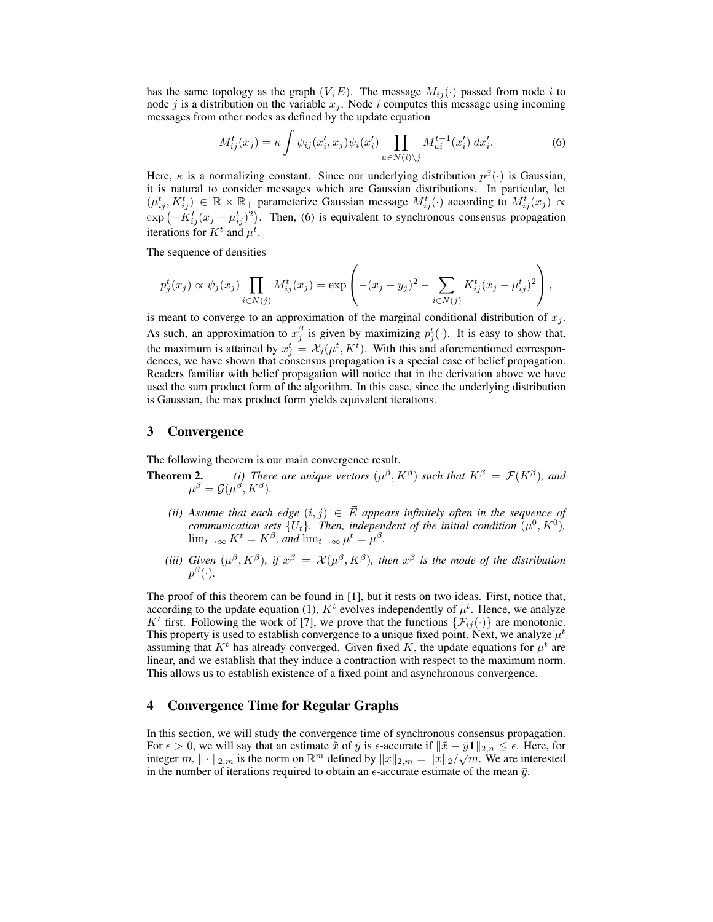has the same topology as the graph  $(V, E)$ . The message  $M_{ij}(\cdot)$  passed from node i to node j is a distribution on the variable  $x_j$ . Node i computes this message using incoming messages from other nodes as defined by the update equation

$$
M_{ij}^{t}(x_j) = \kappa \int \psi_{ij}(x'_i, x_j) \psi_i(x'_i) \prod_{u \in N(i) \setminus j} M_{ui}^{t-1}(x'_i) dx'_i.
$$
 (6)

Here,  $\kappa$  is a normalizing constant. Since our underlying distribution  $p^{\beta}(\cdot)$  is Gaussian, it is natural to consider messages which are Gaussian distributions. In particular, let  $(\mu_{ij}^t, K_{ij}^t) \in \mathbb{R} \times \mathbb{R}_+$  parameterize Gaussian message  $M_{ij}^t(\cdot)$  according to  $M_{ij}^t(x_j) \propto$  $\exp(-K_{ij}^t(x_j - \mu_{ij}^t)^2)$ . Then, (6) is equivalent to synchronous consensus propagation iterations for  $K^t$  and  $\mu^t$ .

The sequence of densities

$$
p_j^t(x_j) \propto \psi_j(x_j) \prod_{i \in N(j)} M_{ij}^t(x_j) = \exp \left( -(x_j - y_j)^2 - \sum_{i \in N(j)} K_{ij}^t (x_j - \mu_{ij}^t)^2 \right),
$$

is meant to converge to an approximation of the marginal conditional distribution of  $x_j$ . As such, an approximation to  $x_j^{\beta}$  is given by maximizing  $p_j^t(\cdot)$ . It is easy to show that, the maximum is attained by  $x_j^t = \mathcal{X}_j(\mu^t, K^t)$ . With this and aforementioned correspondences, we have shown that consensus propagation is a special case of belief propagation. Readers familiar with belief propagation will notice that in the derivation above we have used the sum product form of the algorithm. In this case, since the underlying distribution is Gaussian, the max product form yields equivalent iterations.

### 3 Convergence

The following theorem is our main convergence result.

**Theorem 2.** *(i)* There are unique vectors  $(\mu^{\beta}, K^{\beta})$  such that  $K^{\beta} = \mathcal{F}(K^{\beta})$ , and  $\mu^{\beta} = \mathcal{G}(\mu^{\beta}, K^{\beta}).$ 

- *(ii)* Assume that each edge  $(i, j) \in \overrightarrow{E}$  appears infinitely often in the sequence of *communication sets*  $\{U_t\}$ . Then, independent of the initial condition  $(\mu^0, K^0)$ ,  $\lim_{t\to\infty} K^t = K^{\beta}$ , and  $\lim_{t\to\infty} \mu^t = \mu^{\beta}$ .
- (*iii*) Given  $(\mu^{\beta}, K^{\beta})$ , if  $x^{\beta} = X(\mu^{\beta}, K^{\beta})$ , then  $x^{\beta}$  is the mode of the distribution  $p^{\beta}(\cdot)$ .

The proof of this theorem can be found in [1], but it rests on two ideas. First, notice that, according to the update equation (1),  $K<sup>t</sup>$  evolves independently of  $\mu<sup>t</sup>$ . Hence, we analyze  $K^t$  first. Following the work of [7], we prove that the functions  $\{\mathcal{F}_{ij}(\cdot)\}\$  are monotonic. This property is used to establish convergence to a unique fixed point. Next, we analyze  $\mu^t$ assuming that  $K^t$  has already converged. Given fixed K, the update equations for  $\mu^t$  are linear, and we establish that they induce a contraction with respect to the maximum norm. This allows us to establish existence of a fixed point and asynchronous convergence.

### 4 Convergence Time for Regular Graphs

In this section, we will study the convergence time of synchronous consensus propagation. For  $\epsilon > 0$ , we will say that an estimate  $\tilde{x}$  of  $\bar{y}$  is  $\epsilon$ -accurate if  $\|\tilde{x} - \bar{y}\mathbf{1}\|_{2,n} \leq \epsilon$ . Here, for integer m,  $\|\cdot\|_{2,m}$  is the norm on  $\mathbb{R}^m$  defined by  $\|x\|_{2,m} = \|\dot{x}\|_2/\sqrt{m}$ . We are interested in the number of iterations required to obtain an  $\epsilon$ -accurate estimate of the mean  $\bar{y}$ .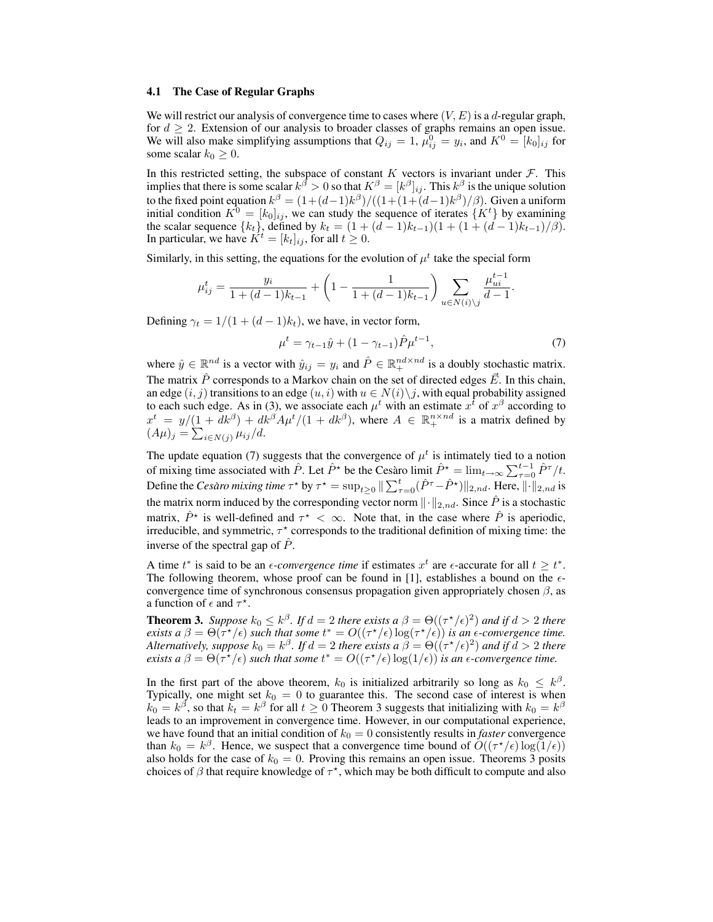#### 4.1 The Case of Regular Graphs

We will restrict our analysis of convergence time to cases where  $(V, E)$  is a d-regular graph, for  $d \geq 2$ . Extension of our analysis to broader classes of graphs remains an open issue. We will also make simplifying assumptions that  $Q_{ij} = 1$ ,  $\mu_{ij}^0 = y_i$ , and  $K^0 = [k_0]_{ij}$  for some scalar  $k_0 \geq 0$ .

In this restricted setting, the subspace of constant  $K$  vectors is invariant under  $\mathcal{F}$ . This implies that there is some scalar  $k^{\beta} > 0$  so that  $K^{\beta} = [k^{\beta}]_{ij}$ . This  $k^{\beta}$  is the unique solution to the fixed point equation  $k^{\beta} = (1 + (d-1)k^{\beta})/((1 + (1 + (d-1)k^{\beta})/\beta)$ . Given a uniform initial condition  $K^0 = [k_0]_{ij}$ , we can study the sequence of iterates  $\{K^t\}$  by examining the scalar sequence  $\{k_t\}$ , defined by  $k_t = (1 + (d-1)k_{t-1})(1 + (1 + (d-1)k_{t-1})/\beta)$ . In particular, we have  $K^t = [k_t]_{ij}$ , for all  $t \geq 0$ .

Similarly, in this setting, the equations for the evolution of  $\mu^t$  take the special form

$$
\mu_{ij}^t = \frac{y_i}{1 + (d-1)k_{t-1}} + \left(1 - \frac{1}{1 + (d-1)k_{t-1}}\right) \sum_{u \in N(i) \backslash j} \frac{\mu_{ui}^{t-1}}{d-1}.
$$

Defining  $\gamma_t = 1/(1 + (d-1)k_t)$ , we have, in vector form,

$$
\mu^t = \gamma_{t-1}\hat{y} + (1 - \gamma_{t-1})\hat{P}\mu^{t-1},\tag{7}
$$

where  $\hat{y} \in \mathbb{R}^{nd}$  is a vector with  $\hat{y}_{ij} = y_i$  and  $\hat{P} \in \mathbb{R}^{nd \times nd}_+$  is a doubly stochastic matrix. The matrix  $\hat{P}$  corresponds to a Markov chain on the set of directed edges  $\vec{E}$ . In this chain, an edge  $(i, j)$  transitions to an edge  $(u, i)$  with  $u \in N(i) \setminus j$ , with equal probability assigned to each such edge. As in (3), we associate each  $\mu^t$  with an estimate  $x^{\bar{t}}$  of  $x^{\beta}$  according to  $x^t = y/(1 + dk^{\beta}) + dk^{\beta} A \mu^t/(1 + dk^{\beta})$ , where  $A \in \mathbb{R}_+^{n \times nd}$  is a matrix defined by  $(A\mu)_j = \sum_{i \in N(j)} \mu_{ij}/d.$ 

The update equation (7) suggests that the convergence of  $\mu^t$  is intimately tied to a notion of mixing time associated with  $\hat{P}$ . Let  $\hat{P}^*$  be the Cesaro limit  $\hat{P}^* = \lim_{t \to \infty} \sum_{\tau=0}^{t-1} \hat{P}^{\tau}/t$ . Define the *Cesàro mixing time*  $\tau^*$  by  $\tau^* = \sup_{t \ge 0} \|\sum_{\tau=0}^t (\hat{P}^{\tau} - \hat{P}^*)\|_{2,nd}$ . Here,  $\|\cdot\|_{2,nd}$  is the matrix norm induced by the corresponding vector norm  $\|\cdot\|_{2,nd}$ . Since  $\hat{P}$  is a stochastic matrix,  $\hat{P}^*$  is well-defined and  $\tau^* < \infty$ . Note that, in the case where  $\hat{P}$  is aperiodic, irreducible, and symmetric,  $\tau^*$  corresponds to the traditional definition of mixing time: the inverse of the spectral gap of  $\hat{P}$ .

A time  $t^*$  is said to be an *e-convergence time* if estimates  $x^t$  are  $\epsilon$ -accurate for all  $t \geq t^*$ . The following theorem, whose proof can be found in [1], establishes a bound on the  $\epsilon$ convergence time of synchronous consensus propagation given appropriately chosen  $\beta$ , as a function of  $\epsilon$  and  $\tau^*$ .

**Theorem 3.** Suppose  $k_0 \leq k^{\beta}$ . If  $d = 2$  there exists a  $\beta = \Theta((\tau^*/\epsilon)^2)$  and if  $d > 2$  there *exists a*  $\beta = \Theta(\tau^{\star}/\epsilon)$  *such that some*  $t^* = O((\tau^{\star}/\epsilon) \log(\tau^{\star}/\epsilon))$  *is an*  $\epsilon$ *-convergence time. Alternatively, suppose*  $k_0 = k^{\beta}$ . If  $d = 2$  there exists a  $\hat{\beta} = \Theta((\tau^{\star}/\epsilon)^2)$  and if  $d > 2$  there *exists a*  $\beta = \Theta(\tau^* / \epsilon)$  *such that some*  $t^* = O((\tau^* / \epsilon) \log(1 / \epsilon))$  *is an*  $\epsilon$ *-convergence time.* 

In the first part of the above theorem,  $k_0$  is initialized arbitrarily so long as  $k_0 \leq k^{\beta}$ . Typically, one might set  $k_0 = 0$  to guarantee this. The second case of interest is when  $k_0 = k^{\beta}$ , so that  $k_t = k^{\beta}$  for all  $t \ge 0$  Theorem 3 suggests that initializing with  $k_0 = k^{\beta}$ leads to an improvement in convergence time. However, in our computational experience, we have found that an initial condition of  $k_0 = 0$  consistently results in *faster* convergence than  $k_0 = k^{\beta}$ . Hence, we suspect that a convergence time bound of  $O((\tau^{\star}/\epsilon) \log(1/\epsilon))$ also holds for the case of  $k_0 = 0$ . Proving this remains an open issue. Theorems 3 posits choices of  $\beta$  that require knowledge of  $\tau^*$ , which may be both difficult to compute and also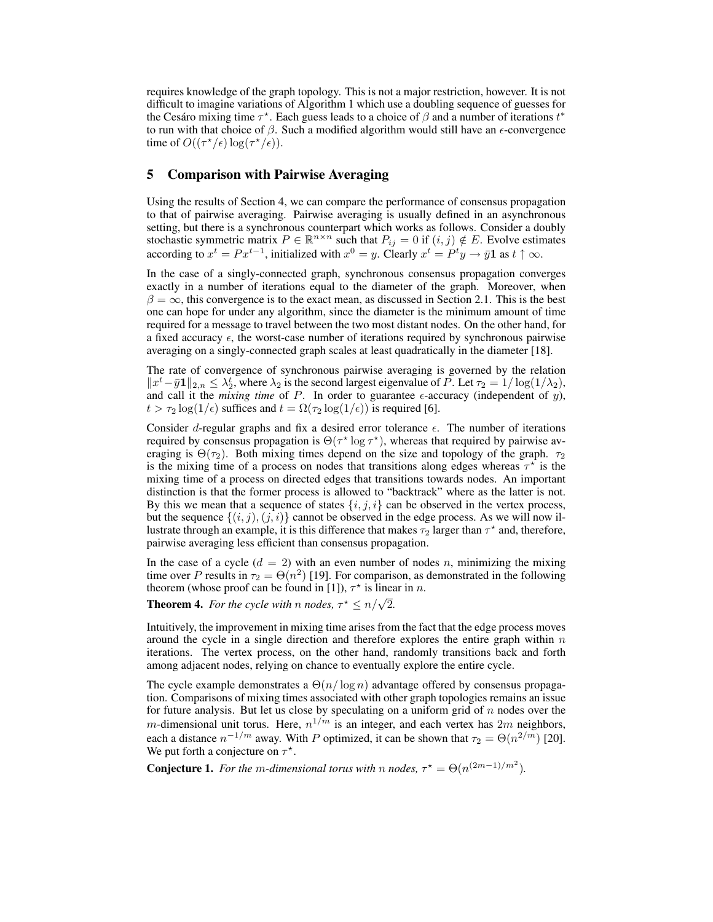requires knowledge of the graph topology. This is not a major restriction, however. It is not difficult to imagine variations of Algorithm 1 which use a doubling sequence of guesses for the Cesáro mixing time  $\tau^*$ . Each guess leads to a choice of  $\beta$  and a number of iterations  $t^*$ to run with that choice of  $\beta$ . Such a modified algorithm would still have an  $\epsilon$ -convergence time of  $O((\tau^*/\epsilon) \log(\tau^*/\epsilon)).$ 

## 5 Comparison with Pairwise Averaging

Using the results of Section 4, we can compare the performance of consensus propagation to that of pairwise averaging. Pairwise averaging is usually defined in an asynchronous setting, but there is a synchronous counterpart which works as follows. Consider a doubly stochastic symmetric matrix  $P \in \mathbb{R}^{n \times n}$  such that  $P_{ij} = 0$  if  $(i, j) \notin E$ . Evolve estimates according to  $x^t = Px^{t-1}$ , initialized with  $x^0 = y$ . Clearly  $x^t = P^t y \rightarrow \bar{y} \mathbf{1}$  as  $t \uparrow \infty$ .

In the case of a singly-connected graph, synchronous consensus propagation converges exactly in a number of iterations equal to the diameter of the graph. Moreover, when  $\beta = \infty$ , this convergence is to the exact mean, as discussed in Section 2.1. This is the best one can hope for under any algorithm, since the diameter is the minimum amount of time required for a message to travel between the two most distant nodes. On the other hand, for a fixed accuracy  $\epsilon$ , the worst-case number of iterations required by synchronous pairwise averaging on a singly-connected graph scales at least quadratically in the diameter [18].

The rate of convergence of synchronous pairwise averaging is governed by the relation  $||x^t - \bar{y}\mathbf{1}||_{2,n} \leq \lambda_2^t$ , where  $\lambda_2$  is the second largest eigenvalue of P. Let  $\tau_2 = 1/\log(1/\lambda_2)$ , and call it the *mixing time* of P. In order to guarantee  $\epsilon$ -accuracy (independent of y),  $t > \tau_2 \log(1/\epsilon)$  suffices and  $t = \Omega(\tau_2 \log(1/\epsilon))$  is required [6].

Consider d-regular graphs and fix a desired error tolerance  $\epsilon$ . The number of iterations required by consensus propagation is  $\Theta(\tau^* \log \tau^*)$ , whereas that required by pairwise averaging is  $\Theta(\tau_2)$ . Both mixing times depend on the size and topology of the graph.  $\tau_2$ is the mixing time of a process on nodes that transitions along edges whereas  $\tau^*$  is the mixing time of a process on directed edges that transitions towards nodes. An important distinction is that the former process is allowed to "backtrack" where as the latter is not. By this we mean that a sequence of states  $\{i, j, i\}$  can be observed in the vertex process, but the sequence  $\{(i, j), (j, i)\}$  cannot be observed in the edge process. As we will now illustrate through an example, it is this difference that makes  $\tau_2$  larger than  $\tau^*$  and, therefore, pairwise averaging less efficient than consensus propagation.

In the case of a cycle  $(d = 2)$  with an even number of nodes n, minimizing the mixing time over P results in  $\tau_2 = \Theta(n^2)$  [19]. For comparison, as demonstrated in the following theorem (whose proof can be found in [1]),  $\tau^*$  is linear in n.

**Theorem 4.** *For the cycle with n nodes*,  $\tau^* \leq n/\sqrt{2}$ .

Intuitively, the improvement in mixing time arises from the fact that the edge process moves around the cycle in a single direction and therefore explores the entire graph within  $n$ iterations. The vertex process, on the other hand, randomly transitions back and forth among adjacent nodes, relying on chance to eventually explore the entire cycle.

The cycle example demonstrates a  $\Theta(n/\log n)$  advantage offered by consensus propagation. Comparisons of mixing times associated with other graph topologies remains an issue for future analysis. But let us close by speculating on a uniform grid of  $n$  nodes over the *m*-dimensional unit torus. Here,  $n^{1/m}$  is an integer, and each vertex has  $2m$  neighbors, each a distance  $n^{-1/m}$  away. With P optimized, it can be shown that  $\tau_2 = \Theta(n^{2/m})$  [20]. We put forth a conjecture on  $\tau^*$ .

**Conjecture 1.** For the m-dimensional torus with n nodes,  $\tau^* = \Theta(n^{(2m-1)/m^2})$ .